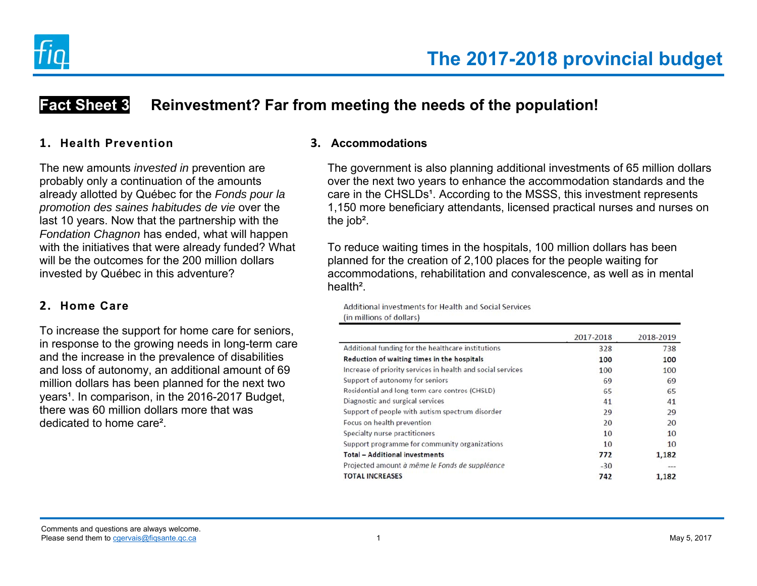

# **Fact Sheet 3 Reinvestment? Far from meeting the needs of the population!**

#### **1. Health Prevention**

The new amounts *invested in* prevention are probably only a continuation of the amounts already allotted by Québec for the *Fonds pour la promotion des saines habitudes de vie* over the last 10 years. Now that the partnership with the *Fondation Chagnon* has ended, what will happen with the initiatives that were already funded? What will be the outcomes for the 200 million dollars invested by Québec in this adventure?

## **2. Home Care**

To increase the support for home care for seniors, in response to the growing needs in long-term care and the increase in the prevalence of disabilities and loss of autonomy, an additional amount of 69 million dollars has been planned for the next two years<sup>1</sup>. In comparison, in the 2016-2017 Budget, there was 60 million dollars more that was dedicated to home care².

### **3. Accommodations**

The government is also planning additional investments of 65 million dollars over the next two years to enhance the accommodation standards and the care in the CHSLDs<sup>1</sup>. According to the MSSS, this investment represents 1,150 more beneficiary attendants, licensed practical nurses and nurses on the job².

To reduce waiting times in the hospitals, 100 million dollars has been planned for the creation of 2,100 places for the people waiting for accommodations, rehabilitation and convalescence, as well as in mental health².

Additional investments for Health and Social Services (in millions of dollars)

|                                                             | 2017-2018 | 2018-2019      |
|-------------------------------------------------------------|-----------|----------------|
| Additional funding for the healthcare institutions          | 328       | 738            |
| Reduction of waiting times in the hospitals                 | 100       | 100            |
| Increase of priority services in health and social services | 100       | 100            |
| Support of autonomy for seniors                             | 69        | 69             |
| Residential and long-term care centres (CHSLD)              | 65        | 65             |
| Diagnostic and surgical services                            | 41        | 41             |
| Support of people with autism spectrum disorder             | 29        | 29             |
| Focus on health prevention                                  | 20        | 20             |
| Specialty nurse practitioners                               | 10        | 10             |
| Support programme for community organizations               | 10        | 10             |
| <b>Total - Additional investments</b>                       | 772       | 1.182          |
| Projected amount à même le Fonds de suppléance              | $-30$     | <b>British</b> |
| <b>TOTAL INCREASES</b>                                      | 742       | 1,182          |